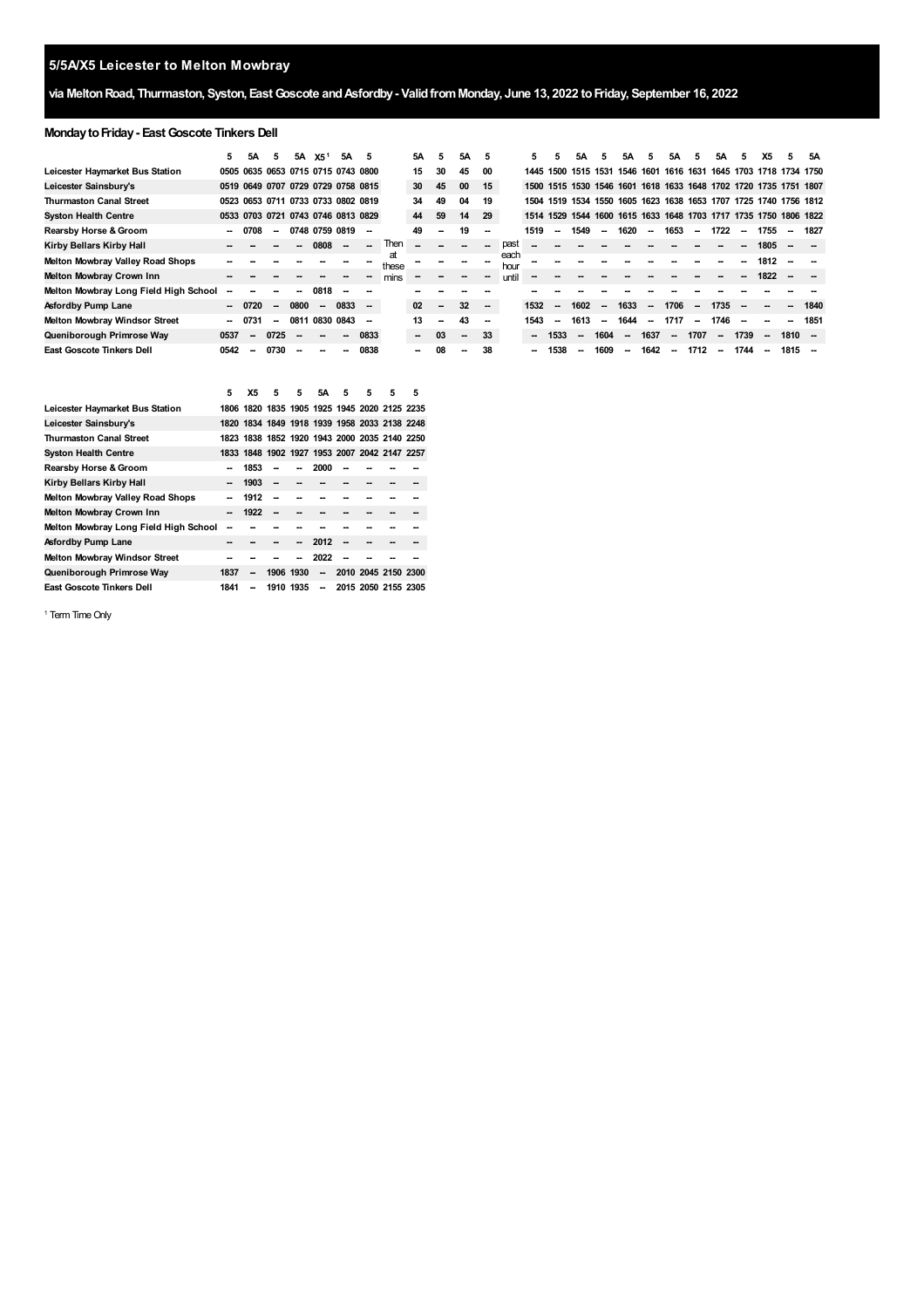# **via MeltonRoad, Thurmaston, Syston, EastGoscote andAsfordby- ValidfromMonday, June 13, 2022 toFriday, September 16, 2022**

# **MondaytoFriday- EastGoscote Tinkers Dell**

|                                       | 5      | 5A             | 5                        | 5A     | X5 <sup>1</sup>                    | 5A                       | 5                        |             | 5А                       | 5.                       | 5A                       | 5                        |              | 5.     | 5                        | 5Α        | 5                        | 5A                       | 5.                       | 5А                       | 5.                       | 5А     | 5      | Х5   | 5                                                                | 5Α   |
|---------------------------------------|--------|----------------|--------------------------|--------|------------------------------------|--------------------------|--------------------------|-------------|--------------------------|--------------------------|--------------------------|--------------------------|--------------|--------|--------------------------|-----------|--------------------------|--------------------------|--------------------------|--------------------------|--------------------------|--------|--------|------|------------------------------------------------------------------|------|
| Leicester Haymarket Bus Station       |        |                |                          |        | 0505 0635 0653 0715 0715 0743 0800 |                          |                          |             | 15                       | 30                       | 45                       | 00                       |              | 1445   | 1500                     | 1515 1531 |                          | 1546                     | 1601                     |                          |                          |        |        |      | 1616 1631 1645 1703 1718 1734 1750                               |      |
| Leicester Sainsbury's                 |        |                |                          |        | 0519 0649 0707 0729 0729 0758 0815 |                          |                          |             | 30                       | 45                       | 00                       | 15                       |              |        |                          |           |                          |                          |                          |                          |                          |        |        |      | 1500 1515 1530 1546 1601 1618 1633 1648 1702 1720 1735 1751 1807 |      |
| <b>Thurmaston Canal Street</b>        |        |                |                          |        | 0523 0653 0711 0733 0733 0802 0819 |                          |                          |             | 34                       | 49                       | 04                       | 19                       |              | 1504   |                          |           |                          |                          |                          |                          |                          |        |        |      | 1519 1534 1550 1605 1623 1638 1653 1707 1725 1740 1756 1812      |      |
| <b>Syston Health Centre</b>           |        | 0533 0703 0721 |                          |        | 0743 0746 0813 0829                |                          |                          |             | 44                       | 59                       | 14                       | 29                       |              | 1514   |                          |           |                          |                          |                          |                          |                          |        |        |      | 1529 1544 1600 1615 1633 1648 1703 1717 1735 1750 1806 1822      |      |
| Rearsby Horse & Groom                 | $\sim$ | 0708           | $\sim$                   |        | 0748 0759 0819                     |                          | --                       |             | 49                       | --                       | 19                       | --                       |              | 1519   | $\overline{\phantom{a}}$ | 1549      | $\overline{\phantom{a}}$ | 1620                     | $\overline{\phantom{a}}$ | 1653                     | $\sim$                   | 1722   | $\sim$ | 1755 | $\sim$                                                           | 1827 |
| Kirby Bellars Kirby Hall              |        |                |                          |        | 0808                               |                          |                          | Then        |                          |                          |                          |                          | past         |        |                          |           |                          |                          |                          |                          |                          |        |        | 1805 |                                                                  |      |
| Melton Mowbray Valley Road Shops      |        |                |                          |        |                                    |                          |                          | at<br>these |                          |                          |                          |                          | each<br>hour |        |                          |           |                          |                          |                          |                          |                          |        |        | 1812 |                                                                  |      |
| Melton Mowbray Crown Inn              |        |                |                          |        |                                    |                          |                          | mins        |                          |                          |                          |                          | until        |        |                          |           |                          |                          |                          |                          |                          |        |        | 1822 |                                                                  |      |
| Melton Mowbray Long Field High School |        |                |                          |        | 0818                               |                          |                          |             |                          |                          |                          |                          |              |        |                          |           |                          |                          |                          |                          |                          |        |        |      |                                                                  |      |
| Asfordby Pump Lane                    | $\sim$ | 0720           | $\overline{\phantom{a}}$ | 0800   | $\sim$                             | 0833                     | $\overline{\phantom{a}}$ |             | 02                       | $\overline{\phantom{a}}$ | 32                       | $\overline{\phantom{a}}$ |              | 1532   | $\overline{\phantom{a}}$ | 1602      | $\overline{\phantom{a}}$ | 1633                     | $\overline{\phantom{a}}$ | 1706                     | $\sim$                   | 1735   |        |      |                                                                  | 1840 |
| <b>Melton Mowbray Windsor Street</b>  | $\sim$ | 0731           | --                       | 0811   | 0830 0843                          |                          | --                       |             | 13                       | $\sim$                   | 43                       | $\overline{\phantom{a}}$ |              | 1543   | --                       | 1613      | $\overline{\phantom{a}}$ | 1644                     | $\sim$                   | 1717                     | $\overline{\phantom{a}}$ | 1746   |        |      |                                                                  | 1851 |
| Queniborough Primrose Way             | 0537   | $\sim$         | 0725                     | $\sim$ | $\overline{\phantom{a}}$           | $\overline{\phantom{a}}$ | 0833                     |             | $\overline{\phantom{a}}$ | 03                       | $\overline{\phantom{a}}$ | 33                       |              | $\sim$ | 1533                     | --        | 1604                     | --                       | 1637                     | $\overline{\phantom{a}}$ | 1707                     | $\sim$ | 1739   | --   | $1810 -$                                                         |      |
| <b>East Goscote Tinkers Dell</b>      | 0542   |                | 0730                     | --     | --                                 |                          | 0838                     |             | $\sim$                   | 08                       | $\sim$                   | 38                       |              | $\sim$ | 1538                     | --        | 1609                     | $\overline{\phantom{a}}$ | 1642                     | $\sim$                   | 1712                     | $\sim$ | 1744   | --   | 1815                                                             |      |

|                                       | 5    | Х5   | 5                                            | 5         | 5А                       | 5 | 5 | 5                   | 5 |
|---------------------------------------|------|------|----------------------------------------------|-----------|--------------------------|---|---|---------------------|---|
| Leicester Haymarket Bus Station       |      |      | 1806 1820 1835 1905 1925 1945 2020 2125 2235 |           |                          |   |   |                     |   |
| Leicester Sainsbury's                 |      |      | 1820 1834 1849 1918 1939 1958 2033 2138 2248 |           |                          |   |   |                     |   |
| <b>Thurmaston Canal Street</b>        |      |      | 1823 1838 1852 1920 1943 2000 2035 2140 2250 |           |                          |   |   |                     |   |
| <b>Syston Health Centre</b>           |      |      | 1833 1848 1902 1927 1953 2007 2042 2147 2257 |           |                          |   |   |                     |   |
| Rearsby Horse & Groom                 |      | 1853 |                                              |           | 2000                     |   |   |                     |   |
| Kirby Bellars Kirby Hall              |      | 1903 | --                                           |           |                          |   |   |                     |   |
| Melton Mowbray Valley Road Shops      |      | 1912 |                                              |           |                          |   |   |                     |   |
| Melton Mowbray Crown Inn              |      | 1922 | --                                           |           |                          |   |   |                     |   |
| Melton Mowbray Long Field High School |      |      |                                              |           |                          |   |   |                     |   |
| Asfordby Pump Lane                    |      |      |                                              |           | 2012                     |   |   |                     |   |
| Melton Mowbray Windsor Street         |      |      |                                              |           | 2022                     |   |   |                     |   |
| Queniborough Primrose Way             | 1837 | --   |                                              | 1906 1930 | $\overline{\phantom{a}}$ |   |   | 2010 2045 2150 2300 |   |
| East Goscote Tinkers Dell             | 1841 | --   |                                              | 1910 1935 | $\overline{\phantom{a}}$ |   |   | 2015 2050 2155 2305 |   |

<span id="page-0-0"></span><sup>1</sup> Term Time Only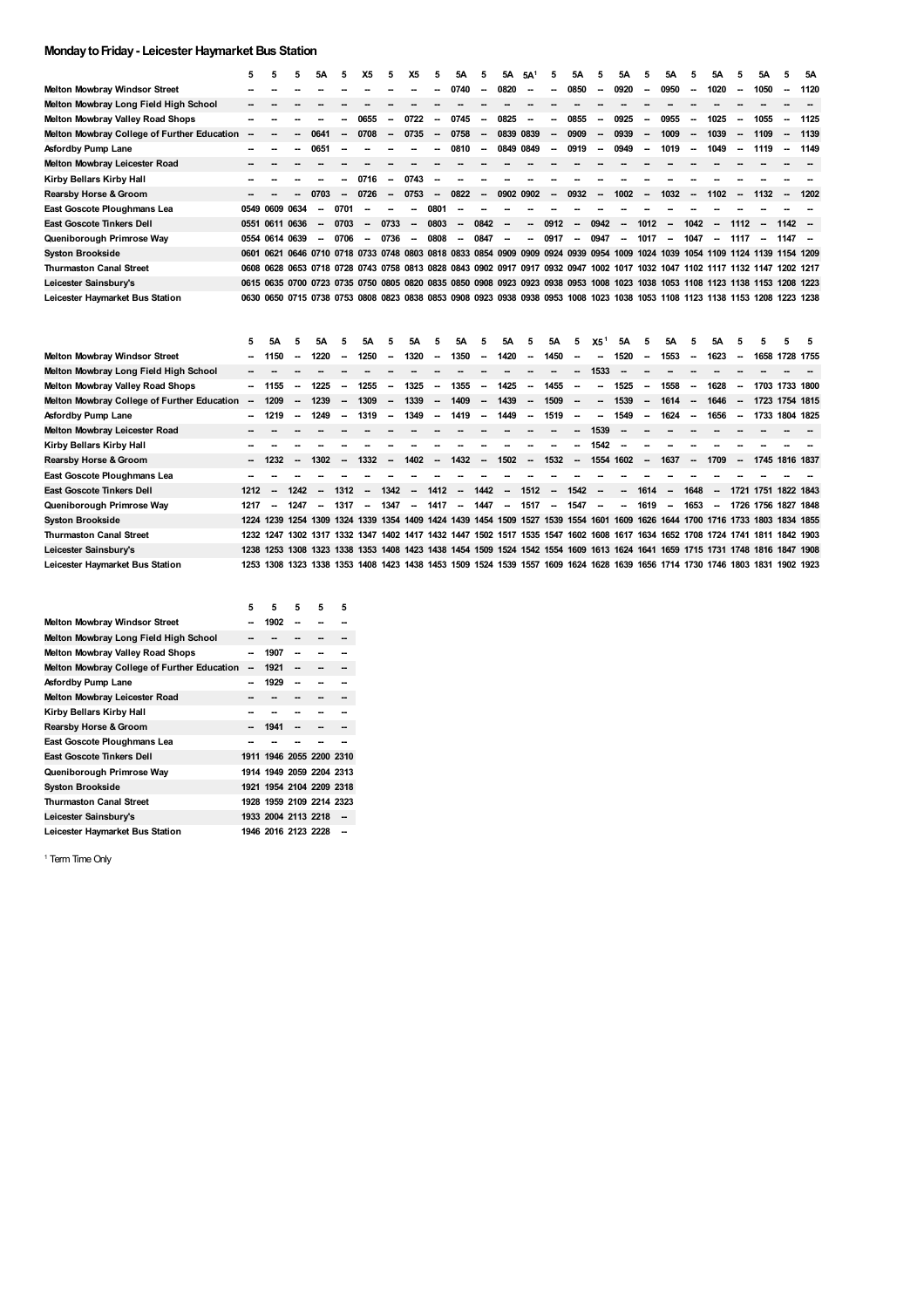## **MondaytoFriday- Leicester Haymarket Bus Station**

|                                             | 5 | 5 | 5.                                                                                                                           | 5A                       | 5                        | Х5     | 5.     | X5     | 5.                       | 5Α     | 5                        | 5A                       | 5A <sup>1</sup>          | 5                        | 5A                       | 5                        | 5A                       | 5.                       | 5A                       | 5                        | 5A                       | 5      | 5А     | 5.                       | 5Α   |
|---------------------------------------------|---|---|------------------------------------------------------------------------------------------------------------------------------|--------------------------|--------------------------|--------|--------|--------|--------------------------|--------|--------------------------|--------------------------|--------------------------|--------------------------|--------------------------|--------------------------|--------------------------|--------------------------|--------------------------|--------------------------|--------------------------|--------|--------|--------------------------|------|
| <b>Melton Mowbray Windsor Street</b>        |   |   |                                                                                                                              |                          |                          |        |        |        |                          | 0740   | $\overline{\phantom{a}}$ | 0820                     | $\overline{\phantom{a}}$ | -                        | 0850                     | $\sim$                   | 0920                     | $\overline{\phantom{a}}$ | 0950                     | $\sim$                   | 1020                     | $\sim$ | 1050   | $\sim$                   | 1120 |
| Melton Mowbray Long Field High School       |   |   |                                                                                                                              |                          |                          |        |        |        |                          |        |                          |                          |                          |                          |                          |                          |                          |                          |                          |                          |                          |        |        |                          |      |
| <b>Melton Mowbray Valley Road Shops</b>     |   |   |                                                                                                                              |                          |                          | 0655   | --     | 0722   | $\overline{\phantom{a}}$ | 0745   | $\sim$                   | 0825                     | $\overline{\phantom{a}}$ | --                       | 0855                     | $\sim$                   | 0925                     | -                        | 0955                     | $\sim$                   | 1025                     | --     | 1055   | $\overline{\phantom{a}}$ | 1125 |
| Melton Mowbray College of Further Education |   |   |                                                                                                                              | 0641                     |                          | 0708   | --     | 0735   | $\sim$                   | 0758   | $\sim$                   | 0839 0839                |                          | $\overline{\phantom{a}}$ | 0909                     | $\overline{\phantom{a}}$ | 0939                     | $\sim$                   | 1009                     | $\overline{\phantom{a}}$ | 1039                     |        | 1109   | $\overline{\phantom{a}}$ | 1139 |
| Asfordby Pump Lane                          |   |   |                                                                                                                              | 0651                     | $\overline{\phantom{a}}$ |        |        |        |                          | 0810   | $\overline{\phantom{a}}$ |                          | 0849 0849                | $\overline{\phantom{a}}$ | 0919                     | $\overline{\phantom{a}}$ | 0949                     | -                        | 1019                     | $\overline{\phantom{a}}$ | 1049                     |        | 1119   | $\overline{\phantom{a}}$ | 1149 |
| Melton Mowbray Leicester Road               |   |   |                                                                                                                              |                          |                          |        |        |        |                          |        |                          |                          |                          |                          |                          |                          |                          |                          |                          |                          |                          |        |        |                          |      |
| Kirby Bellars Kirby Hall                    |   |   |                                                                                                                              |                          |                          | 0716   | $\sim$ | 0743   |                          |        |                          |                          |                          |                          |                          |                          |                          |                          |                          |                          |                          |        |        |                          |      |
| Rearsby Horse & Groom                       |   |   |                                                                                                                              | 0703                     |                          | 0726   | --     | 0753   |                          | 0822   | $\sim$                   | 0902 0902                |                          | $\overline{\phantom{a}}$ | 0932                     | $\overline{\phantom{a}}$ | 1002                     | $\sim$                   | 1032                     | $\overline{\phantom{a}}$ | 1102                     | $\sim$ | 1132   | $\overline{\phantom{a}}$ | 1202 |
| East Goscote Ploughmans Lea                 |   |   | 0549 0609 0634                                                                                                               | $\overline{\phantom{a}}$ | 0701                     | --     |        | --     | 0801                     | --     |                          |                          |                          |                          |                          |                          |                          |                          |                          |                          |                          |        |        |                          |      |
| <b>East Goscote Tinkers Dell</b>            |   |   | 0551 0611 0636                                                                                                               | $\overline{\phantom{a}}$ | 0703                     | $\sim$ | 0733   | $\sim$ | 0803                     | $\sim$ | 0842                     | $\overline{\phantom{a}}$ | $\sim$                   | 0912                     | $\overline{\phantom{a}}$ | 0942                     | $\overline{\phantom{a}}$ | 1012                     | $\overline{\phantom{a}}$ | 1042                     | $\overline{\phantom{a}}$ | 1112   | $\sim$ | $1142 -$                 |      |
| Queniborough Primrose Way                   |   |   | 0554 0614 0639                                                                                                               | $\overline{\phantom{a}}$ | 0706                     | --     | 0736   | $\sim$ | 0808                     | $\sim$ | 0847                     | $\overline{\phantom{a}}$ | $\overline{\phantom{a}}$ | 0917                     | $\overline{\phantom{a}}$ | 0947                     | $\overline{\phantom{a}}$ | 1017                     | $\overline{\phantom{a}}$ | 1047                     | $\sim$                   | 1117   | --     | 1147 –                   |      |
| <b>Syston Brookside</b>                     |   |   | 0601 0621 0646 0710 0718 0733 0748 0803 0818 0833 0854 0909 0909 0924 0939 0954 1009 1024 1039                               |                          |                          |        |        |        |                          |        |                          |                          |                          |                          |                          |                          |                          |                          |                          | 1054 1109                |                          |        |        | 1124 1139 1154 1209      |      |
| <b>Thurmaston Canal Street</b>              |   |   | 0608 0628 0653 0718 0728 0743 0758 0813 0828 0843 0902 0917 0917 0932 0947 1002 1017 1032 1047 1102 1117 1132 1147 1202 1217 |                          |                          |        |        |        |                          |        |                          |                          |                          |                          |                          |                          |                          |                          |                          |                          |                          |        |        |                          |      |
| Leicester Sainsbury's                       |   |   | 0615 0635 0700 0723 0735 0750 0805 0820 0835 0850 0908 0923 0923 0938 0953 1008 1023 1038 1053 1108 1123 1138 1153 1208 1223 |                          |                          |        |        |        |                          |        |                          |                          |                          |                          |                          |                          |                          |                          |                          |                          |                          |        |        |                          |      |
| Leicester Haymarket Bus Station             |   |   | 0630 0650 0715 0738 0753 0808 0823 0838 0853 0908 0923 0938 0938 0953 1008 1023 1038 1053 1108 1123 1138 1153                |                          |                          |        |        |        |                          |        |                          |                          |                          |                          |                          |                          |                          |                          |                          |                          |                          |        | 1208   | 1223 1238                |      |

|                                             | 5                        | 5А                       | 5                        | 5А                                                                                                                           | 5      | 5А                       | 5                        | 5A     | 5      | 5A     | 5                        | <b>5A</b>                | 5                        | <b>5A</b> | 5                        | X5 <sup>1</sup>          | 5A                       | -5.                      | 5A                       | 5.                       | 5A                       |        | 5 | 5.                  |  |
|---------------------------------------------|--------------------------|--------------------------|--------------------------|------------------------------------------------------------------------------------------------------------------------------|--------|--------------------------|--------------------------|--------|--------|--------|--------------------------|--------------------------|--------------------------|-----------|--------------------------|--------------------------|--------------------------|--------------------------|--------------------------|--------------------------|--------------------------|--------|---|---------------------|--|
| Melton Mowbray Windsor Street               | $\overline{\phantom{a}}$ | 1150                     | -                        | 1220                                                                                                                         | $\sim$ | 1250                     | --                       | 1320   | $\sim$ | 1350   | --                       | 1420                     | $\overline{\phantom{a}}$ | 1450      | $\overline{\phantom{a}}$ | $\overline{\phantom{a}}$ | 1520                     | $\sim$                   | 1553                     | $\overline{\phantom{a}}$ | 1623                     | $\sim$ |   | 1658 1728 1755      |  |
| Melton Mowbray Long Field High School       |                          |                          |                          |                                                                                                                              |        |                          |                          |        |        |        |                          |                          |                          |           | --                       | 1533                     |                          |                          |                          |                          |                          |        |   |                     |  |
| Melton Mowbray Valley Road Shops            | $\overline{\phantom{a}}$ | 1155                     | $\overline{\phantom{a}}$ | 1225                                                                                                                         | $\sim$ | 1255                     | $\sim$                   | 1325   | $\sim$ | 1355   | --                       | 1425                     | $\sim$                   | 1455      | $\overline{\phantom{a}}$ | $\overline{\phantom{a}}$ | 1525                     | $\sim$                   | 1558                     | $\overline{\phantom{a}}$ | 1628                     | $\sim$ |   | 1703 1733 1800      |  |
| Melton Mowbray College of Further Education | $\overline{\phantom{a}}$ | 1209                     | $\overline{\phantom{a}}$ | 1239                                                                                                                         | --     | 1309                     | $\sim$                   | 1339   | $\sim$ | 1409   | $\overline{\phantom{a}}$ | 1439                     | $\overline{\phantom{a}}$ | 1509      | $\overline{\phantom{a}}$ | ۰.                       | 1539                     | $\sim$                   | 1614                     | $\sim$                   | 1646 -                   |        |   | 1723 1754 1815      |  |
| Asfordby Pump Lane                          | $\overline{\phantom{a}}$ | 1219                     | -                        | 1249                                                                                                                         | --     | 1319                     | --                       | 1349   | $\sim$ | 1419   | --                       | 1449                     | $\overline{\phantom{a}}$ | 1519      | -                        | -                        | 1549                     | $\overline{\phantom{a}}$ | 1624                     | $\overline{\phantom{a}}$ | 1656                     | $\sim$ |   | 1733 1804 1825      |  |
| Melton Mowbray Leicester Road               |                          |                          |                          |                                                                                                                              |        |                          |                          |        |        |        |                          |                          |                          |           | $\overline{\phantom{a}}$ | 1539                     |                          |                          |                          |                          |                          |        |   |                     |  |
| Kirby Bellars Kirby Hall                    |                          |                          |                          |                                                                                                                              |        |                          |                          |        |        |        |                          |                          |                          |           | --                       | 1542                     |                          |                          |                          |                          |                          |        |   |                     |  |
| Rearsby Horse & Groom                       |                          |                          | --                       | 1302                                                                                                                         | $\sim$ | 1332                     | $\overline{\phantom{a}}$ | 1402   | $\sim$ | 1432   | $\overline{\phantom{a}}$ | 1502                     | $\overline{\phantom{a}}$ | 1532      | $\overline{\phantom{a}}$ | 1554 1602                |                          | $\sim$                   | 1637                     | $\overline{\phantom{a}}$ | 1709                     | $\sim$ |   | 1745 1816 1837      |  |
| East Goscote Ploughmans Lea                 |                          |                          |                          |                                                                                                                              |        |                          |                          |        |        |        |                          |                          |                          |           |                          |                          |                          |                          |                          |                          |                          |        |   |                     |  |
| East Goscote Tinkers Dell                   | 1212                     | <b>.</b>                 | 1242                     | -                                                                                                                            | 1312   | --                       | 1342                     | $\sim$ | 1412   | $\sim$ | 1442                     | $\overline{\phantom{a}}$ | 1512                     | $\sim$    | 1542                     | $\overline{\phantom{a}}$ | -                        | 1614                     | $\overline{\phantom{a}}$ | 1648                     | $\overline{\phantom{a}}$ |        |   | 1721 1751 1822 1843 |  |
| Queniborough Primrose Way                   | 1217                     | $\overline{\phantom{a}}$ | 1247                     | $\overline{\phantom{a}}$                                                                                                     | 1317   | $\overline{\phantom{a}}$ | 1347                     | $\sim$ | 1417   | $\sim$ | 1447                     | $\sim$                   | 1517                     | $\sim$    | 1547                     | $\overline{\phantom{a}}$ | $\overline{\phantom{a}}$ | 1619                     | -                        | 1653                     | $\overline{\phantom{a}}$ |        |   | 1726 1756 1827 1848 |  |
| Syston Brookside                            |                          |                          |                          | 1224 1239 1254 1309 1324 1339 1354 1409 1424 1439 1454 1509 1527 1539 1554 1601 1609 1626 1644 1700 1716 1733 1803 1834 1855 |        |                          |                          |        |        |        |                          |                          |                          |           |                          |                          |                          |                          |                          |                          |                          |        |   |                     |  |
| <b>Thurmaston Canal Street</b>              | 1232 1247                |                          |                          | 1302 1317 1332 1347 1402 1417 1432 1447 1502 1517 1535 1547 1602 1608 1617 1634 1652 1708 1724 1741                          |        |                          |                          |        |        |        |                          |                          |                          |           |                          |                          |                          |                          |                          |                          |                          |        |   | 1811 1842 1903      |  |
| Leicester Sainsbury's                       |                          |                          |                          | 1238 1253 1308 1323 1338 1353 1408 1423 1438 1454 1509 1524 1542 1554 1609 1613 1624 1641 1659 1715 1731 1748 1816 1847 1908 |        |                          |                          |        |        |        |                          |                          |                          |           |                          |                          |                          |                          |                          |                          |                          |        |   |                     |  |
| Leicester Haymarket Bus Station             | 1253                     |                          |                          | 1308 1323 1338 1353 1408 1423 1438 1453 1509 1524 1539 1557 1609 1624 1628 1639 1656 1714 1730 1746 1803 1831                |        |                          |                          |        |        |        |                          |                          |                          |           |                          |                          |                          |                          |                          |                          |                          |        |   | 1902 1923           |  |
|                                             |                          |                          |                          |                                                                                                                              |        |                          |                          |        |        |        |                          |                          |                          |           |                          |                          |                          |                          |                          |                          |                          |        |   |                     |  |

|                                             | 5  | 5                        | 5 | 5 | 5 |
|---------------------------------------------|----|--------------------------|---|---|---|
| <b>Melton Mowbray Windsor Street</b>        |    | 1902                     |   |   |   |
| Melton Mowbray Long Field High School       |    |                          |   |   |   |
| Melton Mowbray Valley Road Shops            |    | 1907                     |   |   |   |
| Melton Mowbray College of Further Education | -- | 1921                     |   |   |   |
| Asfordby Pump Lane                          |    | 1929                     |   |   |   |
| Melton Mowbray Leicester Road               |    |                          |   |   |   |
| Kirby Bellars Kirby Hall                    |    |                          |   |   |   |
| <b>Rearsby Horse &amp; Groom</b>            |    | 1941                     |   |   |   |
| East Goscote Ploughmans Lea                 |    |                          |   |   |   |
| <b>East Goscote Tinkers Dell</b>            |    | 1911 1946 2055 2200 2310 |   |   |   |
| Queniborough Primrose Way                   |    | 1914 1949 2059 2204 2313 |   |   |   |
| <b>Syston Brookside</b>                     |    | 1921 1954 2104 2209 2318 |   |   |   |
| <b>Thurmaston Canal Street</b>              |    | 1928 1959 2109 2214 2323 |   |   |   |
| Leicester Sainsbury's                       |    | 1933 2004 2113 2218      |   |   |   |
| Leicester Haymarket Bus Station             |    | 1946 2016 2123 2228      |   |   |   |

<sup>1</sup> Term Time Only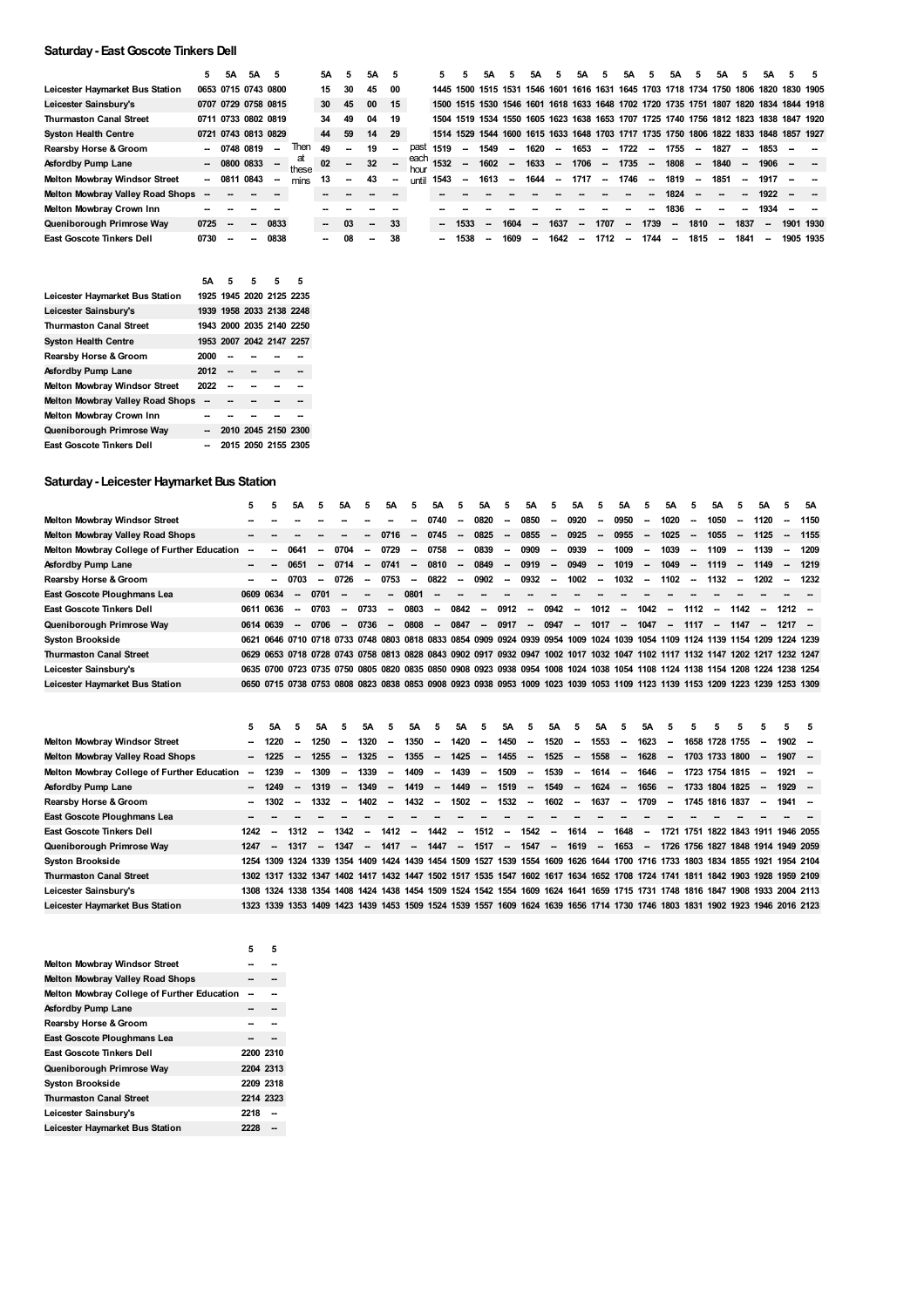## **Saturday- EastGoscote Tinkers Dell**

|                                      | 5    | 5A                       | 5Α                  |        |             | 5Α     | 5  | 5Α     |                          |              |                     |      | 5Α     |                          | 5Α                       | 5                        | 5Α     | 5                        | 5A                       | 5                        | 5A                       |                          | 5А                                           |        | 5А                       |                                                                                      | 5 |
|--------------------------------------|------|--------------------------|---------------------|--------|-------------|--------|----|--------|--------------------------|--------------|---------------------|------|--------|--------------------------|--------------------------|--------------------------|--------|--------------------------|--------------------------|--------------------------|--------------------------|--------------------------|----------------------------------------------|--------|--------------------------|--------------------------------------------------------------------------------------|---|
| Leicester Haymarket Bus Station      |      |                          | 0653 0715 0743 0800 |        |             | 15     | 30 | 45     | 00                       |              | 1445 1500 1515 1531 |      |        |                          |                          | 1546 1601                |        |                          |                          |                          |                          |                          | 1616 1631 1645 1703 1718 1734 1750 1806 1820 |        |                          | 1830 1905                                                                            |   |
| Leicester Sainsbury's                |      |                          | 0707 0729 0758 0815 |        |             | 30     | 45 | 00     | 15                       |              |                     |      |        |                          |                          |                          |        |                          |                          |                          |                          |                          |                                              |        |                          | 1500 1515 1530 1546 1601 1618 1633 1648 1702 1720 1735 1751 1807 1820 1834 1844 1918 |   |
| <b>Thurmaston Canal Street</b>       |      |                          | 0711 0733 0802 0819 |        |             | 34     | 49 | 04     | 19                       |              |                     |      |        |                          |                          |                          |        |                          |                          |                          |                          |                          |                                              |        |                          | 1504 1519 1534 1550 1605 1623 1638 1653 1707 1725 1740 1756 1812 1823 1838 1847 1920 |   |
| <b>Syston Health Centre</b>          |      |                          | 0721 0743 0813 0829 |        |             | 44     | 59 | 14     | 29                       |              |                     |      |        |                          |                          |                          |        |                          |                          |                          |                          |                          |                                              |        |                          | 1514 1529 1544 1600 1615 1633 1648 1703 1717 1735 1750 1806 1822 1833 1848 1857 1927 |   |
| Rearsby Horse & Groom                | --   | 0748                     | 0819                | --     | <b>Then</b> | 49     | -- | 19     | --                       | past         | 1519                | --   | 1549   | $\overline{\phantom{a}}$ | 1620                     | --                       | 1653   | --                       | 1722                     | --                       | 1755                     | $\overline{\phantom{a}}$ | 1827                                         | $\sim$ | 1853                     |                                                                                      |   |
| Asfordby Pump Lane                   |      | $- 08000033$             |                     | $\sim$ | at<br>these | 02     | -- | 32     | $\sim$                   | each<br>hour | 1532                | --   | 1602   | $\overline{\phantom{a}}$ | 1633                     | $\sim$                   | 1706   | $\overline{\phantom{a}}$ | 1735                     | $\sim$                   | 1808                     | $\sim$                   | 1840                                         | $\sim$ | 1906                     |                                                                                      |   |
| <b>Melton Mowbray Windsor Street</b> | ۰.   | 0811 0843                |                     | --     | mins        | 13     | -- | 43     | $\overline{\phantom{a}}$ | <b>until</b> | 1543                | --   | 1613   | $\overline{\phantom{a}}$ | 1644                     | $\overline{\phantom{a}}$ | 1717   | $\overline{\phantom{a}}$ | 1746                     | $\overline{\phantom{a}}$ | 1819                     | $\overline{\phantom{a}}$ | 1851                                         | $\sim$ | 1917                     |                                                                                      |   |
| Melton Mowbray Valley Road Shops     |      |                          |                     |        |             |        |    |        |                          |              |                     |      |        |                          |                          |                          |        |                          |                          |                          | 1824                     |                          |                                              |        | 1922                     |                                                                                      |   |
| Melton Mowbray Crown Inn             |      |                          |                     |        |             |        |    |        |                          |              |                     |      |        |                          |                          |                          |        |                          |                          |                          | 1836                     | $\sim$                   |                                              |        | 1934                     |                                                                                      |   |
| Queniborough Primrose Way            | 0725 | $\overline{\phantom{a}}$ | --                  | 0833   |             | $\sim$ | 03 | $\sim$ | -33                      |              | -                   | 1533 | $\sim$ | 1604                     | $\overline{\phantom{a}}$ | 1637                     | --     | 1707                     | $\overline{\phantom{a}}$ | 1739                     | $\overline{\phantom{a}}$ | 1810                     | $\overline{\phantom{a}}$                     | 1837   | $\overline{\phantom{a}}$ | 1901 1930                                                                            |   |
| <b>East Goscote Tinkers Dell</b>     | 0730 |                          |                     | 0838   |             | -      | 08 | --     | 38                       |              |                     | 1538 | --     | 1609                     | $\sim$                   | 1642                     | $\sim$ | 1712                     | $\sim$                   | 1744                     | $\overline{\phantom{a}}$ | 1815                     | $\sim$                                       | 1841   | $\overline{\phantom{a}}$ | 1905 1935                                                                            |   |

|                                      | 5А   | 5                        | 5                   | 5 | 5 |
|--------------------------------------|------|--------------------------|---------------------|---|---|
| Leicester Haymarket Bus Station      |      | 1925 1945 2020 2125 2235 |                     |   |   |
| Leicester Sainsbury's                |      | 1939 1958 2033 2138 2248 |                     |   |   |
| <b>Thurmaston Canal Street</b>       |      | 1943 2000 2035 2140 2250 |                     |   |   |
| Syston Health Centre                 |      | 1953 2007 2042 2147 2257 |                     |   |   |
| Rearsby Horse & Groom                | 2000 |                          |                     |   |   |
| Asfordby Pump Lane                   | 2012 |                          |                     |   |   |
| <b>Melton Mowbray Windsor Street</b> | 2022 |                          |                     |   |   |
| Melton Mowbray Valley Road Shops     | --   |                          |                     |   |   |
| Melton Mowbray Crown Inn             |      |                          |                     |   |   |
| Queniborough Primrose Way            |      |                          | 2010 2045 2150 2300 |   |   |
| East Goscote Tinkers Dell            |      |                          | 2015 2050 2155 2305 |   |   |

# **Saturday- Leicester Haymarket Bus Station**

|                                             | 5.        | 5 | 5А                       | 5.                       | 5A     | 5.                       | 5А                                                                                                                           | 5.                       | 5А   | 5.      | 5А                       | 5                        | 5A     | 5.     | 5A     | 5.                       | 5A     | 5.      | 5A                       | 5.                       | 5A                       | 5.     | 5A                       |                          | 5A   |
|---------------------------------------------|-----------|---|--------------------------|--------------------------|--------|--------------------------|------------------------------------------------------------------------------------------------------------------------------|--------------------------|------|---------|--------------------------|--------------------------|--------|--------|--------|--------------------------|--------|---------|--------------------------|--------------------------|--------------------------|--------|--------------------------|--------------------------|------|
| <b>Melton Mowbray Windsor Street</b>        |           |   |                          |                          |        |                          |                                                                                                                              | --                       | 0740 | $\sim$  | 0820                     | $\sim$                   | 0850   | $\sim$ | 0920   | $\overline{\phantom{a}}$ | 0950   | $\sim$  | 1020                     | $\overline{\phantom{a}}$ | 1050                     | $\sim$ | 1120                     | $\overline{\phantom{a}}$ | 1150 |
| Melton Mowbray Valley Road Shops            |           |   |                          |                          |        | -−                       | 0716                                                                                                                         | $\sim$                   | 0745 | $\sim$  | 0825                     | $\sim$                   | 0855   | $\sim$ | 0925   | $\overline{\phantom{a}}$ | 0955   | $\sim$  | 1025                     | $\sim$                   | 1055                     | $\sim$ | 1125                     | $\sim$                   | 1155 |
| Melton Mowbray College of Further Education |           |   | 0641                     | $\overline{\phantom{a}}$ | 0704   | $\overline{\phantom{a}}$ | 0729                                                                                                                         | $\sim$                   | 0758 | $\sim$  | 0839                     | $\overline{\phantom{a}}$ | 0909   | $\sim$ | 0939   | $\sim$                   | 1009   | $\sim$  | 1039                     | $\sim$                   | 1109                     | $\sim$ | 1139                     | $\sim$                   | 1209 |
| Asfordby Pump Lane                          |           |   | 0651                     | $\overline{\phantom{a}}$ | 0714   | $\sim$                   | 0741                                                                                                                         | $\overline{\phantom{a}}$ | 0810 | $\sim$  | 0849                     | $\overline{\phantom{a}}$ | 0919   | $\sim$ | 0949   | $\overline{\phantom{a}}$ | 1019   | $\sim$  | 1049                     | $\sim$                   | 1119                     | $\sim$ | 1149                     | $\overline{\phantom{a}}$ | 1219 |
| Rearsby Horse & Groom                       |           |   | 0703                     | $\overline{\phantom{a}}$ | 0726   | $\sim$                   | 0753                                                                                                                         | $\sim$                   | 0822 | $\sim$  | 0902                     | $\sim$                   | 0932 - |        | 1002   | $\sim$                   | 1032   | $\sim$  | 1102                     | $\sim$                   | 1132 -                   |        | 1202                     | $\sim$                   | 1232 |
| East Goscote Ploughmans Lea                 | 0609 0634 |   | $\overline{\phantom{a}}$ | 0701                     |        | --                       | --                                                                                                                           | 0801                     |      |         |                          |                          |        |        |        |                          |        |         |                          |                          |                          |        |                          |                          |      |
| <b>East Goscote Tinkers Dell</b>            | 0611 0636 |   | $\overline{\phantom{a}}$ | 0703                     | $\sim$ | 0733                     | --                                                                                                                           | 0803                     | --   | 0842    | $\overline{\phantom{a}}$ | 0912                     | $\sim$ | 0942   | -      | 1012                     | $\sim$ | 1042    | $\overline{\phantom{a}}$ | 1112                     | $\overline{\phantom{a}}$ | 1142   | $\overline{\phantom{a}}$ | $1212 -$                 |      |
| Queniborough Primrose Way                   | 0614 0639 |   | $\overline{\phantom{a}}$ | 0706                     | $\sim$ | 0736                     | $\sim$                                                                                                                       | 0808                     |      | $-0847$ | $\sim$                   | 0917                     |        | - 0947 | $\sim$ | 1017                     |        | $-1047$ |                          |                          | -- 1117 -- 1147          |        | $\sim$                   | $1217 -$                 |      |
| <b>Syston Brookside</b>                     |           |   |                          |                          |        |                          | 0621 0646 0710 0718 0733 0748 0803 0818 0833 0854 0909 0924 0939 0954 1009 1024 1039 1054 1109 1124 1139 1154 1209 1224 1239 |                          |      |         |                          |                          |        |        |        |                          |        |         |                          |                          |                          |        |                          |                          |      |
| <b>Thurmaston Canal Street</b>              |           |   |                          |                          |        |                          | 0629 0653 0718 0728 0743 0758 0813 0828 0843 0902 0917 0932 0947 1002 1017 1032 1047 1102 1117 1132 1147 1202 1217 1232 1247 |                          |      |         |                          |                          |        |        |        |                          |        |         |                          |                          |                          |        |                          |                          |      |
| Leicester Sainsbury's                       |           |   |                          |                          |        |                          | 0635 0700 0723 0735 0750 0805 0820 0835 0850 0908 0923 0938 0954 1008 1024 1038 1054 1108 1124 1138 1154 1208 1224 1238 1254 |                          |      |         |                          |                          |        |        |        |                          |        |         |                          |                          |                          |        |                          |                          |      |
| Leicester Haymarket Bus Station             |           |   |                          |                          |        |                          | 0650 0715 0738 0753 0808 0823 0838 0853 0908 0923 0938 0953 1009 1023 1039 1053 1109 1123 1139 1153 1209 1223 1239 1253 1309 |                          |      |         |                          |                          |        |        |        |                          |        |         |                          |                          |                          |        |                          |                          |      |

|                                             | 5.                       | 5А      | 5                        | 5A                       | 5      | 5А                       | 5.                       | 5Α                       | -5.    | 5А                       | 5      | 5A     | 5                        | 5A     | 5                        | 5A                       | 5.                       | 5A      | 5                        |      |                | 5                        | 5.                                                                                                                           | -5 |
|---------------------------------------------|--------------------------|---------|--------------------------|--------------------------|--------|--------------------------|--------------------------|--------------------------|--------|--------------------------|--------|--------|--------------------------|--------|--------------------------|--------------------------|--------------------------|---------|--------------------------|------|----------------|--------------------------|------------------------------------------------------------------------------------------------------------------------------|----|
| <b>Melton Mowbray Windsor Street</b>        | $\sim$                   | 1220    | $\overline{\phantom{a}}$ | 1250                     | $\sim$ | 1320                     | $\sim$                   | 1350                     | $\sim$ | 1420                     | --     | 1450   | $\overline{\phantom{a}}$ | 1520   | $\overline{\phantom{a}}$ | 1553                     | $\overline{\phantom{a}}$ | 1623    | $\overline{\phantom{a}}$ |      | 1658 1728 1755 | --                       | $1902 -$                                                                                                                     |    |
| <b>Melton Mowbray Valley Road Shops</b>     |                          | $-1225$ | $\sim$                   | 1255                     | $\sim$ | 1325                     | $\sim$                   | 1355                     |        | $-1425$                  | $\sim$ | 1455   | $\sim$                   | 1525   | $\overline{\phantom{a}}$ | 1558                     | $\overline{\phantom{a}}$ | 1628    | $\sim$                   |      | 1703 1733 1800 | $\overline{\phantom{a}}$ | $1907 -$                                                                                                                     |    |
| Melton Mowbray College of Further Education | $\overline{\phantom{a}}$ | 1239    | $\overline{\phantom{a}}$ | 1309                     | $\sim$ | 1339                     | $\overline{\phantom{a}}$ | 1409                     | $\sim$ | 1439                     | $\sim$ | 1509   | $\sim$                   | 1539   | $\overline{\phantom{a}}$ | 1614                     | $\sim$                   | 1646    | $\sim$                   |      | 1723 1754 1815 | $\overline{\phantom{a}}$ | 1921 -                                                                                                                       |    |
| <b>Asfordby Pump Lane</b>                   |                          | $-1249$ | $\sim$                   | 1319                     | $\sim$ | 1349                     | $\sim$                   | 1419                     |        | $-1449$                  | $\sim$ | 1519   | $\sim$ $-$               | 1549   | $\sim$                   | 1624                     | $\sim$                   | 1656    | $\sim$                   |      | 1733 1804 1825 | $\overline{\phantom{a}}$ | $1929 -$                                                                                                                     |    |
| Rearsby Horse & Groom                       |                          | $-1302$ | $\overline{\phantom{a}}$ | 1332                     | $\sim$ | 1402                     | $\sim$                   | 1432                     |        | $-1502$                  | $\sim$ | 1532 – |                          | 1602   | $\sim$                   | 1637                     |                          | $-1709$ | $\sim$                   |      | 1745 1816 1837 | $\sim$                   | $1941 -$                                                                                                                     |    |
| East Goscote Ploughmans Lea                 |                          |         |                          |                          |        |                          |                          |                          |        |                          |        |        |                          |        |                          |                          |                          |         |                          |      |                |                          |                                                                                                                              |    |
| <b>East Goscote Tinkers Dell</b>            | 1242                     | -       | 1312                     | $\overline{\phantom{a}}$ | 1342   | $\overline{\phantom{a}}$ | 1412                     | $\overline{\phantom{a}}$ | 1442   | $\overline{\phantom{a}}$ | 1512   | $\sim$ | 1542                     | $\sim$ | 1614                     | $\overline{\phantom{a}}$ | 1648                     | $\sim$  | 1721                     | 1751 |                |                          | 1822 1843 1911 1946 2055                                                                                                     |    |
| Queniborough Primrose Way                   | 1247                     | $\sim$  | 1317                     | $\overline{\phantom{a}}$ | 1347   | $\sim$                   | 1417                     | $\sim$                   | 1447   | $\sim$                   | 1517   | $\sim$ | 1547 –                   |        | 1619                     | $\sim$                   |                          |         |                          |      |                |                          | 1653 - 1726 1756 1827 1848 1914 1949 2059                                                                                    |    |
| <b>Syston Brookside</b>                     |                          |         |                          |                          |        |                          |                          |                          |        |                          |        |        |                          |        |                          |                          |                          |         |                          |      |                |                          | 1254 1309 1324 1339 1354 1409 1424 1439 1454 1509 1527 1539 1554 1609 1626 1644 1700 1716 1733 1803 1834 1855 1921 1954 2104 |    |
| <b>Thurmaston Canal Street</b>              |                          |         |                          |                          |        |                          |                          |                          |        |                          |        |        |                          |        |                          |                          |                          |         |                          |      |                |                          | 1302 1317 1332 1347 1402 1417 1432 1447 1502 1517 1535 1547 1602 1617 1634 1652 1708 1724 1741 1811 1842 1903 1928 1959 2109 |    |
| Leicester Sainsbury's                       |                          |         |                          |                          |        |                          |                          |                          |        |                          |        |        |                          |        |                          |                          |                          |         |                          |      |                |                          | 1308 1324 1338 1354 1408 1424 1438 1454 1509 1524 1542 1554 1609 1624 1641 1659 1715 1731 1748 1816 1847 1908 1933 2004 2113 |    |
| Leicester Haymarket Bus Station             |                          |         |                          |                          |        |                          |                          |                          |        |                          |        |        |                          |        |                          |                          |                          |         |                          |      |                |                          | 1323 1339 1353 1409 1423 1439 1453 1509 1524 1539 1557 1609 1624 1639 1656 1714 1730 1746 1803 1831 1902 1923 1946 2016 2123 |    |

|                                             | 5    | 5         |
|---------------------------------------------|------|-----------|
| <b>Melton Mowbray Windsor Street</b>        |      |           |
| <b>Melton Mowbray Valley Road Shops</b>     |      |           |
| Melton Mowbray College of Further Education |      |           |
| Asfordby Pump Lane                          |      |           |
| Rearsby Horse & Groom                       |      |           |
| East Goscote Ploughmans Lea                 |      |           |
| <b>East Goscote Tinkers Dell</b>            |      | 2200 2310 |
| Queniborough Primrose Way                   |      | 2204 2313 |
| <b>Syston Brookside</b>                     |      | 2209 2318 |
| <b>Thurmaston Canal Street</b>              |      | 2214 2323 |
| Leicester Sainsbury's                       | 2218 |           |
| Leicester Haymarket Bus Station             | 2228 |           |